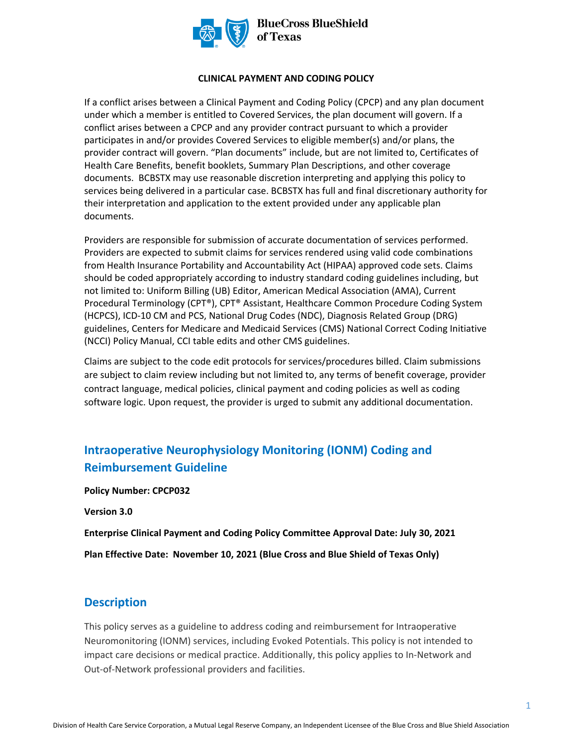

#### **CLINICAL PAYMENT AND CODING POLICY**

If a conflict arises between a Clinical Payment and Coding Policy (CPCP) and any plan document under which a member is entitled to Covered Services, the plan document will govern. If a conflict arises between a CPCP and any provider contract pursuant to which a provider participates in and/or provides Covered Services to eligible member(s) and/or plans, the provider contract will govern. "Plan documents" include, but are not limited to, Certificates of Health Care Benefits, benefit booklets, Summary Plan Descriptions, and other coverage documents. BCBSTX may use reasonable discretion interpreting and applying this policy to services being delivered in a particular case. BCBSTX has full and final discretionary authority for their interpretation and application to the extent provided under any applicable plan documents.

Providers are responsible for submission of accurate documentation of services performed. Providers are expected to submit claims for services rendered using valid code combinations from Health Insurance Portability and Accountability Act (HIPAA) approved code sets. Claims should be coded appropriately according to industry standard coding guidelines including, but not limited to: Uniform Billing (UB) Editor, American Medical Association (AMA), Current Procedural Terminology (CPT®), CPT® Assistant, Healthcare Common Procedure Coding System (HCPCS), ICD-10 CM and PCS, National Drug Codes (NDC), Diagnosis Related Group (DRG) guidelines, Centers for Medicare and Medicaid Services (CMS) National Correct Coding Initiative (NCCI) Policy Manual, CCI table edits and other CMS guidelines.

Claims are subject to the code edit protocols for services/procedures billed. Claim submissions are subject to claim review including but not limited to, any terms of benefit coverage, provider contract language, medical policies, clinical payment and coding policies as well as coding software logic. Upon request, the provider is urged to submit any additional documentation.

# **Intraoperative Neurophysiology Monitoring (IONM) Coding and Reimbursement Guideline**

**Policy Number: CPCP032** 

**Version 3.0** 

**Enterprise Clinical Payment and Coding Policy Committee Approval Date: July 30, 2021** 

**Plan Effective Date: November 10, 2021 (Blue Cross and Blue Shield of Texas Only)** 

## **Description**

This policy serves as a guideline to address coding and reimbursement for Intraoperative Neuromonitoring (IONM) services, including Evoked Potentials. This policy is not intended to impact care decisions or medical practice. Additionally, this policy applies to In-Network and Out-of-Network professional providers and facilities.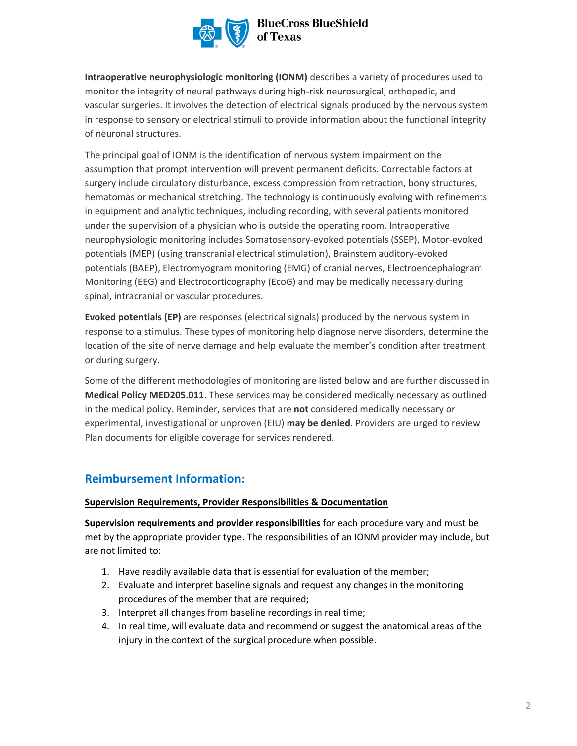

## **BlueCross BlueShield** of Texas

**Intraoperative neurophysiologic monitoring (IONM)** describes a variety of procedures used to monitor the integrity of neural pathways during high-risk neurosurgical, orthopedic, and vascular surgeries. It involves the detection of electrical signals produced by the nervous system in response to sensory or electrical stimuli to provide information about the functional integrity of neuronal structures.

The principal goal of IONM is the identification of nervous system impairment on the assumption that prompt intervention will prevent permanent deficits. Correctable factors at surgery include circulatory disturbance, excess compression from retraction, bony structures, hematomas or mechanical stretching. The technology is continuously evolving with refinements in equipment and analytic techniques, including recording, with several patients monitored under the supervision of a physician who is outside the operating room. Intraoperative neurophysiologic monitoring includes Somatosensory-evoked potentials (SSEP), Motor-evoked potentials (MEP) (using transcranial electrical stimulation), Brainstem auditory-evoked potentials (BAEP), Electromyogram monitoring (EMG) of cranial nerves, Electroencephalogram Monitoring (EEG) and Electrocorticography (EcoG) and may be medically necessary during spinal, intracranial or vascular procedures.

**Evoked potentials (EP)** are responses (electrical signals) produced by the nervous system in response to a stimulus. These types of monitoring help diagnose nerve disorders, determine the location of the site of nerve damage and help evaluate the member's condition after treatment or during surgery.

Some of the different methodologies of monitoring are listed below and are further discussed in **Medical Policy MED205.011**. These services may be considered medically necessary as outlined in the medical policy. Reminder, services that are **not** considered medically necessary or experimental, investigational or unproven (EIU) **may be denied**. Providers are urged to review Plan documents for eligible coverage for services rendered.

# **Reimbursement Information:**

#### **Supervision Requirements, Provider Responsibilities & Documentation**

**Supervision requirements and provider responsibilities** for each procedure vary and must be met by the appropriate provider type. The responsibilities of an IONM provider may include, but are not limited to:

- 1. Have readily available data that is essential for evaluation of the member;
- 2. Evaluate and interpret baseline signals and request any changes in the monitoring procedures of the member that are required;
- 3. Interpret all changes from baseline recordings in real time;
- 4. In real time, will evaluate data and recommend or suggest the anatomical areas of the injury in the context of the surgical procedure when possible.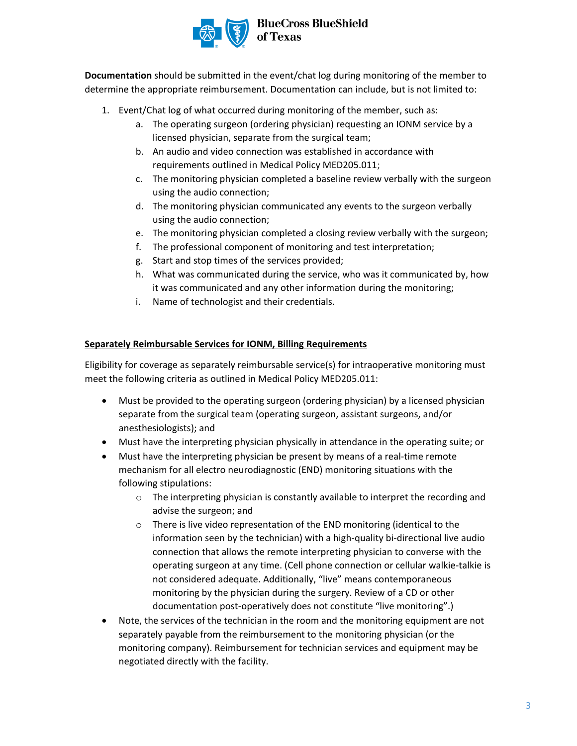

## **BlueCross BlueShield** of Texas

**Documentation** should be submitted in the event/chat log during monitoring of the member to determine the appropriate reimbursement. Documentation can include, but is not limited to:

- 1. Event/Chat log of what occurred during monitoring of the member, such as:
	- a. The operating surgeon (ordering physician) requesting an IONM service by a licensed physician, separate from the surgical team;
	- b. An audio and video connection was established in accordance with requirements outlined in Medical Policy MED205.011;
	- c. The monitoring physician completed a baseline review verbally with the surgeon using the audio connection;
	- d. The monitoring physician communicated any events to the surgeon verbally using the audio connection;
	- e. The monitoring physician completed a closing review verbally with the surgeon;
	- f. The professional component of monitoring and test interpretation;
	- g. Start and stop times of the services provided;
	- h. What was communicated during the service, who was it communicated by, how it was communicated and any other information during the monitoring;
	- i. Name of technologist and their credentials.

#### **Separately Reimbursable Services for IONM, Billing Requirements**

Eligibility for coverage as separately reimbursable service(s) for intraoperative monitoring must meet the following criteria as outlined in Medical Policy MED205.011:

- Must be provided to the operating surgeon (ordering physician) by a licensed physician separate from the surgical team (operating surgeon, assistant surgeons, and/or anesthesiologists); and
- Must have the interpreting physician physically in attendance in the operating suite; or
- Must have the interpreting physician be present by means of a real-time remote mechanism for all electro neurodiagnostic (END) monitoring situations with the following stipulations:
	- o The interpreting physician is constantly available to interpret the recording and advise the surgeon; and
	- o There is live video representation of the END monitoring (identical to the information seen by the technician) with a high-quality bi-directional live audio connection that allows the remote interpreting physician to converse with the operating surgeon at any time. (Cell phone connection or cellular walkie-talkie is not considered adequate. Additionally, "live" means contemporaneous monitoring by the physician during the surgery. Review of a CD or other documentation post-operatively does not constitute "live monitoring".)
- Note, the services of the technician in the room and the monitoring equipment are not separately payable from the reimbursement to the monitoring physician (or the monitoring company). Reimbursement for technician services and equipment may be negotiated directly with the facility.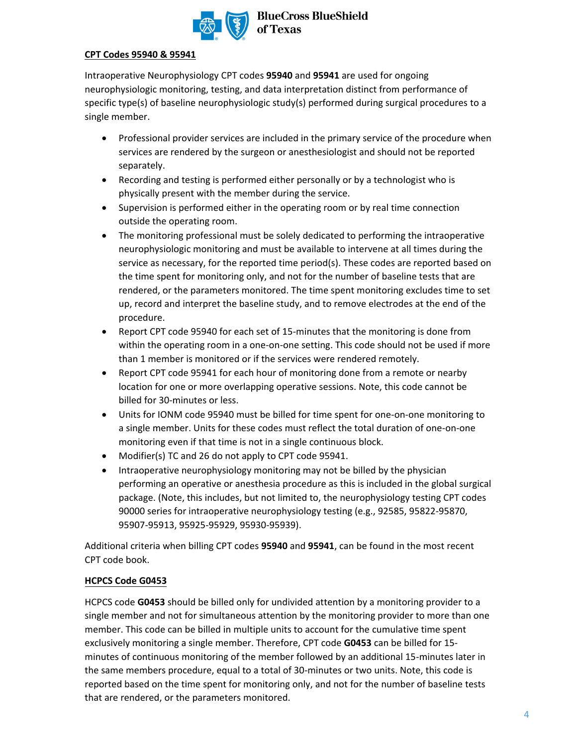

#### **CPT Codes 95940 & 95941**

Intraoperative Neurophysiology CPT codes **95940** and **95941** are used for ongoing neurophysiologic monitoring, testing, and data interpretation distinct from performance of specific type(s) of baseline neurophysiologic study(s) performed during surgical procedures to a single member.

- Professional provider services are included in the primary service of the procedure when services are rendered by the surgeon or anesthesiologist and should not be reported separately.
- Recording and testing is performed either personally or by a technologist who is physically present with the member during the service.
- Supervision is performed either in the operating room or by real time connection outside the operating room.
- The monitoring professional must be solely dedicated to performing the intraoperative neurophysiologic monitoring and must be available to intervene at all times during the service as necessary, for the reported time period(s). These codes are reported based on the time spent for monitoring only, and not for the number of baseline tests that are rendered, or the parameters monitored. The time spent monitoring excludes time to set up, record and interpret the baseline study, and to remove electrodes at the end of the procedure.
- Report CPT code 95940 for each set of 15-minutes that the monitoring is done from within the operating room in a one-on-one setting. This code should not be used if more than 1 member is monitored or if the services were rendered remotely.
- Report CPT code 95941 for each hour of monitoring done from a remote or nearby location for one or more overlapping operative sessions. Note, this code cannot be billed for 30-minutes or less.
- Units for IONM code 95940 must be billed for time spent for one-on-one monitoring to a single member. Units for these codes must reflect the total duration of one-on-one monitoring even if that time is not in a single continuous block.
- Modifier(s) TC and 26 do not apply to CPT code 95941.
- Intraoperative neurophysiology monitoring may not be billed by the physician performing an operative or anesthesia procedure as this is included in the global surgical package. (Note, this includes, but not limited to, the neurophysiology testing CPT codes 90000 series for intraoperative neurophysiology testing (e.g., 92585, 95822-95870, 95907-95913, 95925-95929, 95930-95939).

Additional criteria when billing CPT codes **95940** and **95941**, can be found in the most recent CPT code book.

#### **HCPCS Code G0453**

HCPCS code **G0453** should be billed only for undivided attention by a monitoring provider to a single member and not for simultaneous attention by the monitoring provider to more than one member. This code can be billed in multiple units to account for the cumulative time spent exclusively monitoring a single member. Therefore, CPT code **G0453** can be billed for 15 minutes of continuous monitoring of the member followed by an additional 15-minutes later in the same members procedure, equal to a total of 30-minutes or two units. Note, this code is reported based on the time spent for monitoring only, and not for the number of baseline tests that are rendered, or the parameters monitored.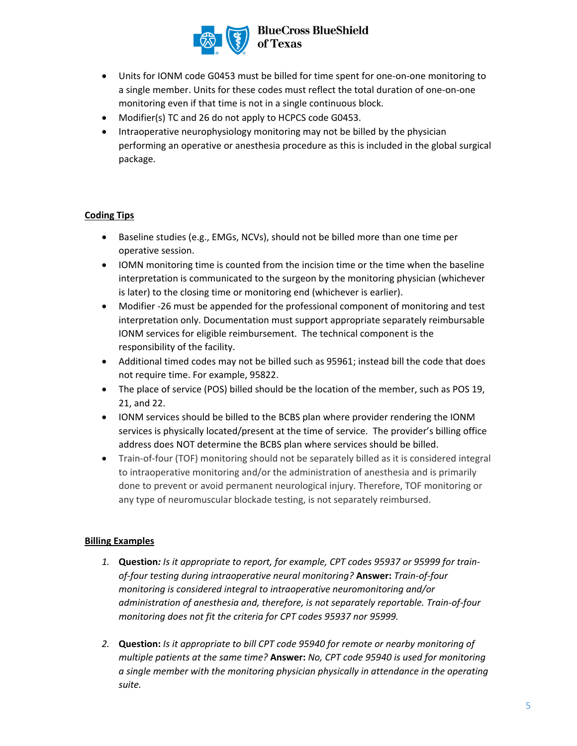

# **BlueCross BlueShield<br>of Texas**

- Units for IONM code G0453 must be billed for time spent for one-on-one monitoring to a single member. Units for these codes must reflect the total duration of one-on-one monitoring even if that time is not in a single continuous block.
- Modifier(s) TC and 26 do not apply to HCPCS code G0453.
- Intraoperative neurophysiology monitoring may not be billed by the physician performing an operative or anesthesia procedure as this is included in the global surgical package.

### **Coding Tips**

- Baseline studies (e.g., EMGs, NCVs), should not be billed more than one time per operative session.
- IOMN monitoring time is counted from the incision time or the time when the baseline interpretation is communicated to the surgeon by the monitoring physician (whichever is later) to the closing time or monitoring end (whichever is earlier).
- Modifier -26 must be appended for the professional component of monitoring and test interpretation only. Documentation must support appropriate separately reimbursable IONM services for eligible reimbursement. The technical component is the responsibility of the facility.
- Additional timed codes may not be billed such as 95961; instead bill the code that does not require time. For example, 95822.
- The place of service (POS) billed should be the location of the member, such as POS 19, 21, and 22.
- IONM services should be billed to the BCBS plan where provider rendering the IONM services is physically located/present at the time of service. The provider's billing office address does NOT determine the BCBS plan where services should be billed.
- Train-of-four (TOF) monitoring should not be separately billed as it is considered integral to intraoperative monitoring and/or the administration of anesthesia and is primarily done to prevent or avoid permanent neurological injury. Therefore, TOF monitoring or any type of neuromuscular blockade testing, is not separately reimbursed.

#### **Billing Examples**

- *1.* **Question***: Is it appropriate to report, for example, CPT codes 95937 or 95999 for trainof-four testing during intraoperative neural monitoring?* **Answer:** *Train-of-four monitoring is considered integral to intraoperative neuromonitoring and/or administration of anesthesia and, therefore, is not separately reportable. Train-of-four monitoring does not fit the criteria for CPT codes 95937 nor 95999.*
- *2.* **Question:** *Is it appropriate to bill CPT code 95940 for remote or nearby monitoring of multiple patients at the same time?* **Answer:** *No, CPT code 95940 is used for monitoring a single member with the monitoring physician physically in attendance in the operating suite.*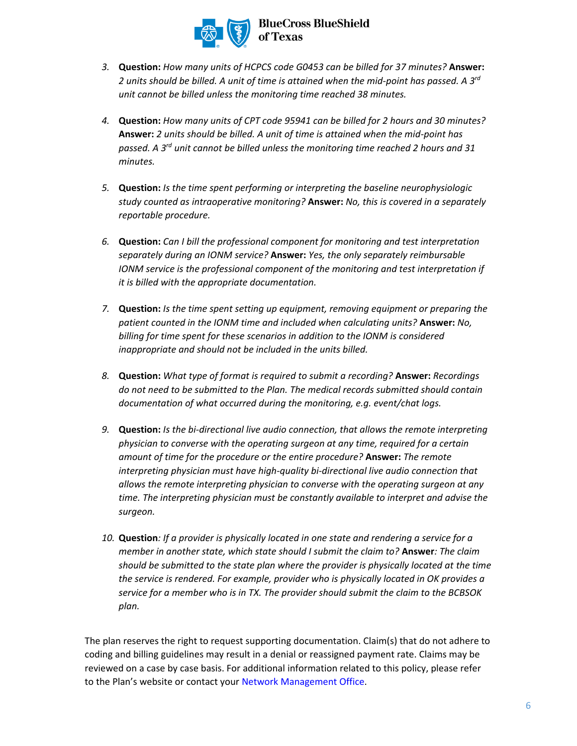

- *3.* **Question:** *How many units of HCPCS code G0453 can be billed for 37 minutes?* **Answer:** *2 units should be billed. A unit of time is attained when the mid-point has passed. A 3rd unit cannot be billed unless the monitoring time reached 38 minutes.*
- *4.* **Question:** *How many units of CPT code 95941 can be billed for 2 hours and 30 minutes?* **Answer:** *2 units should be billed. A unit of time is attained when the mid-point has passed. A 3rd unit cannot be billed unless the monitoring time reached 2 hours and 31 minutes.*
- *5.* **Question:** *Is the time spent performing or interpreting the baseline neurophysiologic study counted as intraoperative monitoring?* **Answer:** *No, this is covered in a separately reportable procedure.*
- *6.* **Question:** *Can I bill the professional component for monitoring and test interpretation separately during an IONM service?* **Answer:** *Yes, the only separately reimbursable IONM service is the professional component of the monitoring and test interpretation if it is billed with the appropriate documentation.*
- *7.* **Question:** *Is the time spent setting up equipment, removing equipment or preparing the patient counted in the IONM time and included when calculating units?* **Answer:** *No, billing for time spent for these scenarios in addition to the IONM is considered inappropriate and should not be included in the units billed.*
- *8.* **Question:** *What type of format is required to submit a recording?* **Answer:** *Recordings do not need to be submitted to the Plan. The medical records submitted should contain documentation of what occurred during the monitoring, e.g. event/chat logs.*
- *9.* **Question:** *Is the bi-directional live audio connection, that allows the remote interpreting physician to converse with the operating surgeon at any time, required for a certain amount of time for the procedure or the entire procedure?* **Answer:** *The remote interpreting physician must have high-quality bi-directional live audio connection that allows the remote interpreting physician to converse with the operating surgeon at any time. The interpreting physician must be constantly available to interpret and advise the surgeon.*
- *10.* **Question***: If a provider is physically located in one state and rendering a service for a member in another state, which state should I submit the claim to?* **Answer***: The claim should be submitted to the state plan where the provider is physically located at the time the service is rendered. For example, provider who is physically located in OK provides a service for a member who is in TX. The provider should submit the claim to the BCBSOK plan.*

The plan reserves the right to request supporting documentation. Claim(s) that do not adhere to coding and billing guidelines may result in a denial or reassigned payment rate. Claims may be reviewed on a case by case basis. For additional information related to this policy, please refer to the Plan's website or contact your [Network Management Office.](https://www.bcbstx.com/provider/contact_us.html)